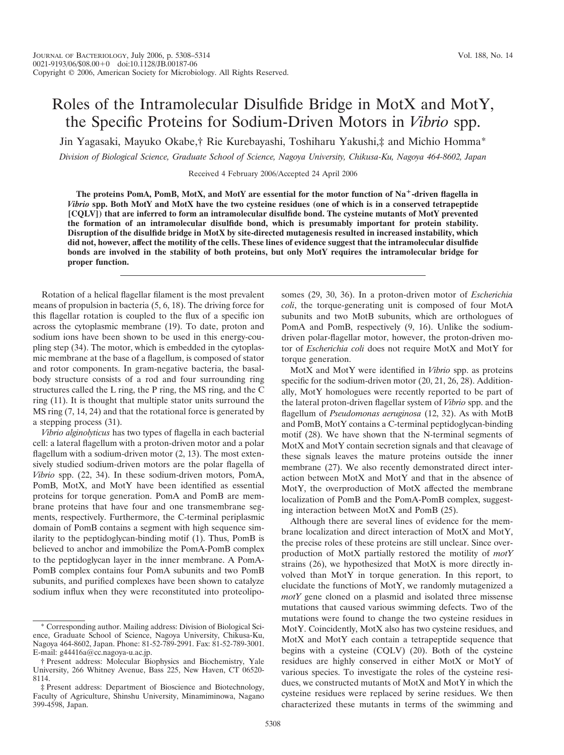## Roles of the Intramolecular Disulfide Bridge in MotX and MotY, the Specific Proteins for Sodium-Driven Motors in *Vibrio* spp.

Jin Yagasaki, Mayuko Okabe,† Rie Kurebayashi, Toshiharu Yakushi,‡ and Michio Homma\*

*Division of Biological Science, Graduate School of Science, Nagoya University, Chikusa-Ku, Nagoya 464-8602, Japan*

Received 4 February 2006/Accepted 24 April 2006

The proteins PomA, PomB, MotX, and MotY are essential for the motor function of Na<sup>+</sup>-driven flagella in Vibrio spp. Both MotY and MotX have the two cysteine residues (one of which is in a conserved tetrapeptide **[CQLV]) that are inferred to form an intramolecular disulfide bond. The cysteine mutants of MotY prevented the formation of an intramolecular disulfide bond, which is presumably important for protein stability. Disruption of the disulfide bridge in MotX by site-directed mutagenesis resulted in increased instability, which** did not, however, affect the motility of the cells. These lines of evidence suggest that the intramolecular disulfide bonds are involved in the stability of both proteins, but only MotY requires the intramolecular bridge for **proper function.**

Rotation of a helical flagellar filament is the most prevalent means of propulsion in bacteria (5, 6, 18). The driving force for this flagellar rotation is coupled to the flux of a specific ion across the cytoplasmic membrane (19). To date, proton and sodium ions have been shown to be used in this energy-coupling step (34). The motor, which is embedded in the cytoplasmic membrane at the base of a flagellum, is composed of stator and rotor components. In gram-negative bacteria, the basalbody structure consists of a rod and four surrounding ring structures called the L ring, the P ring, the MS ring, and the C ring (11). It is thought that multiple stator units surround the MS ring (7, 14, 24) and that the rotational force is generated by a stepping process (31).

*Vibrio alginolyticus* has two types of flagella in each bacterial cell: a lateral flagellum with a proton-driven motor and a polar flagellum with a sodium-driven motor  $(2, 13)$ . The most extensively studied sodium-driven motors are the polar flagella of *Vibrio* spp. (22, 34). In these sodium-driven motors, PomA, PomB, MotX, and MotY have been identified as essential proteins for torque generation. PomA and PomB are membrane proteins that have four and one transmembrane segments, respectively. Furthermore, the C-terminal periplasmic domain of PomB contains a segment with high sequence similarity to the peptidoglycan-binding motif (1). Thus, PomB is believed to anchor and immobilize the PomA-PomB complex to the peptidoglycan layer in the inner membrane. A PomA-PomB complex contains four PomA subunits and two PomB subunits, and purified complexes have been shown to catalyze sodium influx when they were reconstituted into proteoliposomes (29, 30, 36). In a proton-driven motor of *Escherichia coli*, the torque-generating unit is composed of four MotA subunits and two MotB subunits, which are orthologues of PomA and PomB, respectively (9, 16). Unlike the sodiumdriven polar-flagellar motor, however, the proton-driven motor of *Escherichia coli* does not require MotX and MotY for torque generation.

MotX and MotY were identified in *Vibrio* spp. as proteins specific for the sodium-driven motor (20, 21, 26, 28). Additionally, MotY homologues were recently reported to be part of the lateral proton-driven flagellar system of *Vibrio* spp. and the flagellum of *Pseudomonas aeruginosa* (12, 32). As with MotB and PomB, MotY contains a C-terminal peptidoglycan-binding motif (28). We have shown that the N-terminal segments of MotX and MotY contain secretion signals and that cleavage of these signals leaves the mature proteins outside the inner membrane (27). We also recently demonstrated direct interaction between MotX and MotY and that in the absence of MotY, the overproduction of MotX affected the membrane localization of PomB and the PomA-PomB complex, suggesting interaction between MotX and PomB (25).

Although there are several lines of evidence for the membrane localization and direct interaction of MotX and MotY, the precise roles of these proteins are still unclear. Since overproduction of MotX partially restored the motility of *motY* strains (26), we hypothesized that MotX is more directly involved than MotY in torque generation. In this report, to elucidate the functions of MotY, we randomly mutagenized a *motY* gene cloned on a plasmid and isolated three missense mutations that caused various swimming defects. Two of the mutations were found to change the two cysteine residues in MotY. Coincidently, MotX also has two cysteine residues, and MotX and MotY each contain a tetrapeptide sequence that begins with a cysteine (CQLV) (20). Both of the cysteine residues are highly conserved in either MotX or MotY of various species. To investigate the roles of the cysteine residues, we constructed mutants of MotX and MotY in which the cysteine residues were replaced by serine residues. We then characterized these mutants in terms of the swimming and

<sup>\*</sup> Corresponding author. Mailing address: Division of Biological Science, Graduate School of Science, Nagoya University, Chikusa-Ku, Nagoya 464-8602, Japan. Phone: 81-52-789-2991. Fax: 81-52-789-3001. E-mail: g44416a@cc.nagoya-u.ac.jp.

<sup>†</sup> Present address: Molecular Biophysics and Biochemistry, Yale University, 266 Whitney Avenue, Bass 225, New Haven, CT 06520- 8114.

<sup>‡</sup> Present address: Department of Bioscience and Biotechnology, Faculty of Agriculture, Shinshu University, Minamiminowa, Nagano 399-4598, Japan.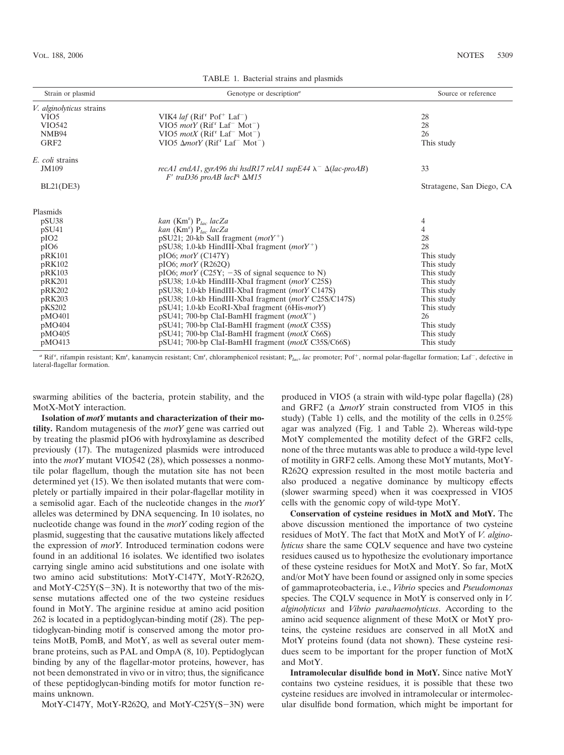| Strain or plasmid        | Genotype or description <sup>a</sup>                                                                                           | Source or reference       |
|--------------------------|--------------------------------------------------------------------------------------------------------------------------------|---------------------------|
| V. alginolyticus strains |                                                                                                                                |                           |
| VIO <sub>5</sub>         | VIK4 <i>laf</i> ( $Rif'$ Pof <sup>+</sup> Laf <sup>-</sup> )                                                                   | 28                        |
| VIO542                   | VIO5 $motY$ (Rif <sup>r</sup> Laf <sup>-</sup> Mot <sup>-</sup> )                                                              | 28                        |
| NMB94                    | VIO5 <i>motX</i> ( $Rif'$ Laf <sup>-</sup> Mot <sup>-</sup> )                                                                  | 26                        |
| GRF <sub>2</sub>         | VIO5 $\Delta$ <i>motY</i> (Rif <sup>r</sup> Laf <sup>-</sup> Mot <sup>-</sup> )                                                | This study                |
| E. coli strains          |                                                                                                                                |                           |
| <b>JM109</b>             | recA1 endA1, gyrA96 thi hsdR17 relA1 supE44 $\lambda^- \Delta$ (lac-proAB)<br>$F'$ traD36 proAB lacI <sup>q</sup> $\Delta M15$ | 33                        |
| BL21(DE3)                |                                                                                                                                | Stratagene, San Diego, CA |
| Plasmids                 |                                                                                                                                |                           |
| pSU38                    | kan (Km <sup>r</sup> ) $P_{lac}$ lacZa                                                                                         | 4                         |
| pSU <sub>41</sub>        | kan (Km <sup>r</sup> ) $P_{loc}$ lacZa                                                                                         | 4                         |
| pIO2                     | $pSU21$ ; 20-kb SalI fragment ( <i>motY</i> <sup>+</sup> )                                                                     | 28                        |
| pIO <sub>6</sub>         | pSU38; 1.0-kb HindIII-XbaI fragment $(motY^+)$                                                                                 | 28                        |
| pRK101                   | $pIO6$ ; $motY$ (C147Y)                                                                                                        | This study                |
| pRK102                   | $pIO6$ ; $motY$ (R262Q)                                                                                                        | This study                |
| pRK103                   | pIO6; motY (C25Y; $-3S$ of signal sequence to N)                                                                               | This study                |
| pRK201                   | pSU38; 1.0-kb HindIII-XbaI fragment ( <i>motY</i> C25S)                                                                        | This study                |
| pRK202                   | pSU38; 1.0-kb HindIII-XbaI fragment ( <i>motY</i> C147S)                                                                       | This study                |
| pRK203                   | pSU38; 1.0-kb HindIII-XbaI fragment (motY C25S/C147S)                                                                          | This study                |
| pKS202                   | pSU41; 1.0-kb EcoRI-XbaI fragment (6His-motY)                                                                                  | This study                |
| pMO401                   | pSU41; 700-bp ClaI-BamHI fragment $(motX^+)$                                                                                   | 26                        |
| pMO404                   | pSU41; 700-bp ClaI-BamHI fragment ( <i>motX</i> C35S)                                                                          | This study                |
| pMO405                   | pSU41; 700-bp ClaI-BamHI fragment (motX C66S)                                                                                  | This study                |
| pMO413                   | pSU41; 700-bp ClaI-BamHI fragment ( <i>motX</i> C35S/C66S)                                                                     | This study                |

TABLE 1. Bacterial strains and plasmids

a Rif<sup>r</sup>, rifampin resistant; Km<sup>r</sup>, kanamycin resistant; Cm<sup>r</sup>, chloramphenicol resistant; P<sub>lac</sub>, *lac* promoter; Pof<sup>+</sup>, normal polar-flagellar formation; Laf<sup>-</sup>, defective in lateral-flagellar formation.

swarming abilities of the bacteria, protein stability, and the MotX-MotY interaction.

**Isolation of** *motY* **mutants and characterization of their motility.** Random mutagenesis of the *motY* gene was carried out by treating the plasmid pIO6 with hydroxylamine as described previously (17). The mutagenized plasmids were introduced into the *motY* mutant VIO542 (28), which possesses a nonmotile polar flagellum, though the mutation site has not been determined yet (15). We then isolated mutants that were completely or partially impaired in their polar-flagellar motility in a semisolid agar. Each of the nucleotide changes in the *motY* alleles was determined by DNA sequencing. In 10 isolates, no nucleotide change was found in the *motY* coding region of the plasmid, suggesting that the causative mutations likely affected the expression of *motY*. Introduced termination codons were found in an additional 16 isolates. We identified two isolates carrying single amino acid substitutions and one isolate with two amino acid substitutions: MotY-C147Y, MotY-R262Q, and MotY-C25Y( $S-3N$ ). It is noteworthy that two of the missense mutations affected one of the two cysteine residues found in MotY. The arginine residue at amino acid position 262 is located in a peptidoglycan-binding motif (28). The peptidoglycan-binding motif is conserved among the motor proteins MotB, PomB, and MotY, as well as several outer membrane proteins, such as PAL and OmpA (8, 10). Peptidoglycan binding by any of the flagellar-motor proteins, however, has not been demonstrated in vivo or in vitro; thus, the significance of these peptidoglycan-binding motifs for motor function remains unknown.

MotY-C147Y, MotY-R262Q, and MotY-C25Y(S-3N) were

produced in VIO5 (a strain with wild-type polar flagella) (28) and GRF2 (a  $\Delta$ *motY* strain constructed from VIO5 in this study) (Table 1) cells, and the motility of the cells in 0.25% agar was analyzed (Fig. 1 and Table 2). Whereas wild-type MotY complemented the motility defect of the GRF2 cells, none of the three mutants was able to produce a wild-type level of motility in GRF2 cells. Among these MotY mutants, MotY-R262Q expression resulted in the most motile bacteria and also produced a negative dominance by multicopy effects (slower swarming speed) when it was coexpressed in VIO5 cells with the genomic copy of wild-type MotY.

**Conservation of cysteine residues in MotX and MotY.** The above discussion mentioned the importance of two cysteine residues of MotY. The fact that MotX and MotY of *V. alginolyticus* share the same CQLV sequence and have two cysteine residues caused us to hypothesize the evolutionary importance of these cysteine residues for MotX and MotY. So far, MotX and/or MotY have been found or assigned only in some species of gammaproteobacteria, i.e., *Vibrio* species and *Pseudomonas* species. The CQLV sequence in MotY is conserved only in *V. alginolyticus* and *Vibrio parahaemolyticus*. According to the amino acid sequence alignment of these MotX or MotY proteins, the cysteine residues are conserved in all MotX and MotY proteins found (data not shown). These cysteine residues seem to be important for the proper function of MotX and MotY.

**Intramolecular disulfide bond in MotY.** Since native MotY contains two cysteine residues, it is possible that these two cysteine residues are involved in intramolecular or intermolecular disulfide bond formation, which might be important for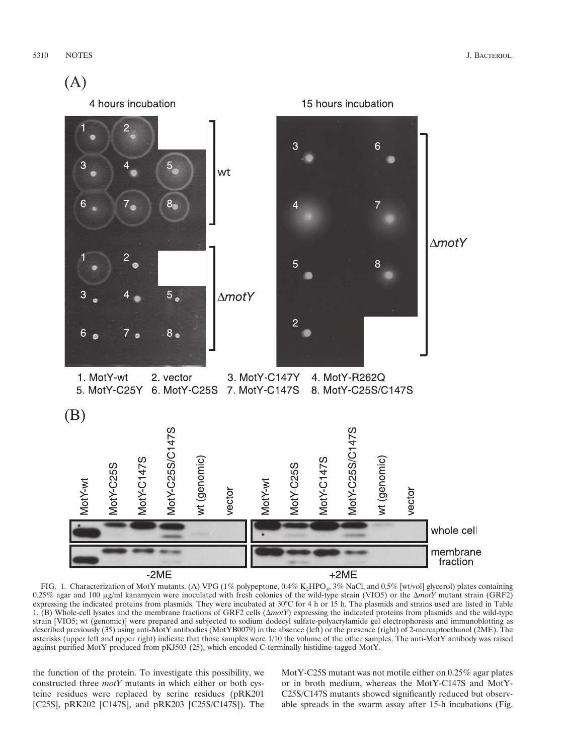

FIG. 1. Characterization of MotY mutants. (A) VPG (1% polypeptone, 0.4% K<sub>2</sub>HPO<sub>4</sub>, 3% NaCl, and 0.5% [wt/vol] glycerol) plates containing 0.25% agar and 100  $\mu$ g/ml kanamycin were inoculated with fresh colonies of the wild-type strain (VIO5) or the  $\Delta$ *motY* mutant strain (GRF2) expressing the indicated proteins from plasmids. They were incubated at 30°C for 4 h or 15 h. The plasmids and strains used are listed in Table 1. (B) Whole-cell lysates and the membrane fractions of GRF2 cells ( $\Delta motY$ ) expressing the indicated proteins from plasmids and the wild-type strain [VIO5; wt (genomic)] were prepared and subjected to sodium dodecyl sulfate-polyacrylamide gel electrophoresis and immunoblotting as described previously (35) using anti-MotY antibodies (MotYB0079) in the absence (left) or the presence (right) of 2-mercaptoethanol (2ME). The asterisks (upper left and upper right) indicate that those samples were 1/10 the volume of the other samples. The anti-MotY antibody was raised against purified MotY produced from pKJ503 (25), which encoded C-terminally histidine-tagged MotY.

the function of the protein. To investigate this possibility, we constructed three *motY* mutants in which either or both cysteine residues were replaced by serine residues (pRK201 [C25S], pRK202 [C147S], and pRK203 [C25S/C147S]). The

MotY-C25S mutant was not motile either on 0.25% agar plates or in broth medium, whereas the MotY-C147S and MotY-C25S/C147S mutants showed significantly reduced but observable spreads in the swarm assay after 15-h incubations (Fig.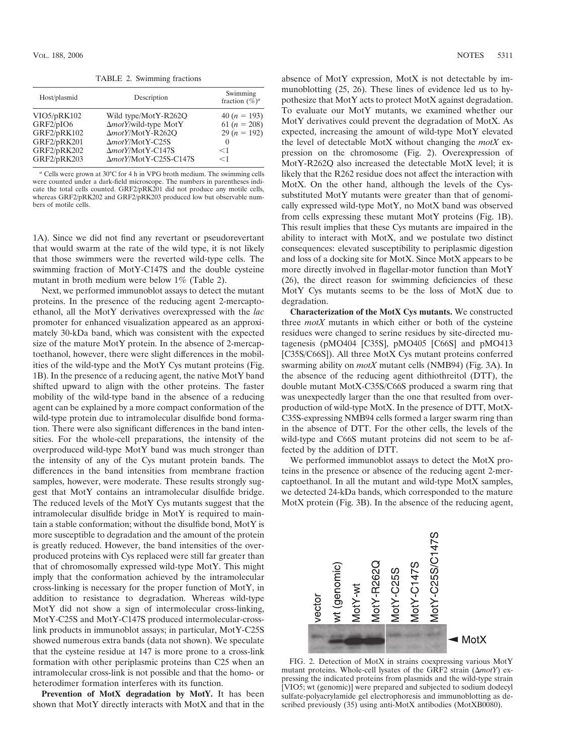TABLE 2. Swimming fractions

| Host/plasmid       | Description                  | Swimming<br>fraction $(\%)^a$ |
|--------------------|------------------------------|-------------------------------|
| VIO5/pRK102        | Wild type/MotY-R262Q         | $40 (n = 193)$                |
| GRF2/pIO6          | $\Delta$ motY/wild-type MotY | 61 ( $n = 208$ )              |
| GRF2/pRK102        | AmotY/MotY-R262O             | 29 ( $n = 192$ )              |
| GRF2/pRK201        | ΔmotY/MotY-C25S              | $\cup$                        |
| GRF2/pRK202        | ΔmotY/MotY-C147S             | $<$ 1                         |
| <b>GRF2/pRK203</b> | ΔmotY/MotY-C25S-C147S        | $<$ 1                         |

*<sup>a</sup>* Cells were grown at 30°C for 4 h in VPG broth medium. The swimming cells were counted under a dark-field microscope. The numbers in parentheses indicate the total cells counted.  $GRF2/pRK201$  did not produce any motile cells, whereas GRF2/pRK202 and GRF2/pRK203 produced low but observable numbers of motile cells.

1A). Since we did not find any revertant or pseudorevertant that would swarm at the rate of the wild type, it is not likely that those swimmers were the reverted wild-type cells. The swimming fraction of MotY-C147S and the double cysteine mutant in broth medium were below 1% (Table 2).

Next, we performed immunoblot assays to detect the mutant proteins. In the presence of the reducing agent 2-mercaptoethanol, all the MotY derivatives overexpressed with the *lac* promoter for enhanced visualization appeared as an approximately 30-kDa band, which was consistent with the expected size of the mature MotY protein. In the absence of 2-mercaptoethanol, however, there were slight differences in the mobilities of the wild-type and the MotY Cys mutant proteins (Fig. 1B). In the presence of a reducing agent, the native MotY band shifted upward to align with the other proteins. The faster mobility of the wild-type band in the absence of a reducing agent can be explained by a more compact conformation of the wild-type protein due to intramolecular disulfide bond formation. There were also significant differences in the band intensities. For the whole-cell preparations, the intensity of the overproduced wild-type MotY band was much stronger than the intensity of any of the Cys mutant protein bands. The differences in the band intensities from membrane fraction samples, however, were moderate. These results strongly suggest that MotY contains an intramolecular disulfide bridge. The reduced levels of the MotY Cys mutants suggest that the intramolecular disulfide bridge in MotY is required to maintain a stable conformation; without the disulfide bond, MotY is more susceptible to degradation and the amount of the protein is greatly reduced. However, the band intensities of the overproduced proteins with Cys replaced were still far greater than that of chromosomally expressed wild-type MotY. This might imply that the conformation achieved by the intramolecular cross-linking is necessary for the proper function of MotY, in addition to resistance to degradation. Whereas wild-type MotY did not show a sign of intermolecular cross-linking, MotY-C25S and MotY-C147S produced intermolecular-crosslink products in immunoblot assays; in particular, MotY-C25S showed numerous extra bands (data not shown). We speculate that the cysteine residue at 147 is more prone to a cross-link formation with other periplasmic proteins than C25 when an intramolecular cross-link is not possible and that the homo- or heterodimer formation interferes with its function.

**Prevention of MotX degradation by MotY.** It has been shown that MotY directly interacts with MotX and that in the

absence of MotY expression, MotX is not detectable by immunoblotting (25, 26). These lines of evidence led us to hypothesize that MotY acts to protect MotX against degradation. To evaluate our MotY mutants, we examined whether our MotY derivatives could prevent the degradation of MotX. As expected, increasing the amount of wild-type MotY elevated the level of detectable MotX without changing the *motX* expression on the chromosome (Fig. 2). Overexpression of MotY-R262Q also increased the detectable MotX level; it is likely that the R262 residue does not affect the interaction with MotX. On the other hand, although the levels of the Cyssubstituted MotY mutants were greater than that of genomically expressed wild-type MotY, no MotX band was observed from cells expressing these mutant MotY proteins (Fig. 1B). This result implies that these Cys mutants are impaired in the ability to interact with MotX, and we postulate two distinct consequences: elevated susceptibility to periplasmic digestion and loss of a docking site for MotX. Since MotX appears to be more directly involved in flagellar-motor function than MotY (26), the direct reason for swimming deficiencies of these MotY Cys mutants seems to be the loss of MotX due to degradation.

**Characterization of the MotX Cys mutants.** We constructed three *motX* mutants in which either or both of the cysteine residues were changed to serine residues by site-directed mutagenesis (pMO404 [C35S], pMO405 [C66S] and pMO413 [C35S/C66S]). All three MotX Cys mutant proteins conferred swarming ability on *motX* mutant cells (NMB94) (Fig. 3A). In the absence of the reducing agent dithiothreitol (DTT), the double mutant MotX-C35S/C66S produced a swarm ring that was unexpectedly larger than the one that resulted from overproduction of wild-type MotX. In the presence of DTT, MotX-C35S-expressing NMB94 cells formed a larger swarm ring than in the absence of DTT. For the other cells, the levels of the wild-type and C66S mutant proteins did not seem to be affected by the addition of DTT.

We performed immunoblot assays to detect the MotX proteins in the presence or absence of the reducing agent 2-mercaptoethanol. In all the mutant and wild-type MotX samples, we detected 24-kDa bands, which corresponded to the mature MotX protein (Fig. 3B). In the absence of the reducing agent,



FIG. 2. Detection of MotX in strains coexpressing various MotY mutant proteins. Whole-cell lysates of the GRF2 strain  $(\Delta m \omega t)$  expressing the indicated proteins from plasmids and the wild-type strain [VIO5; wt (genomic)] were prepared and subjected to sodium dodecyl sulfate-polyacrylamide gel electrophoresis and immunoblotting as described previously (35) using anti-MotX antibodies (MotXB0080).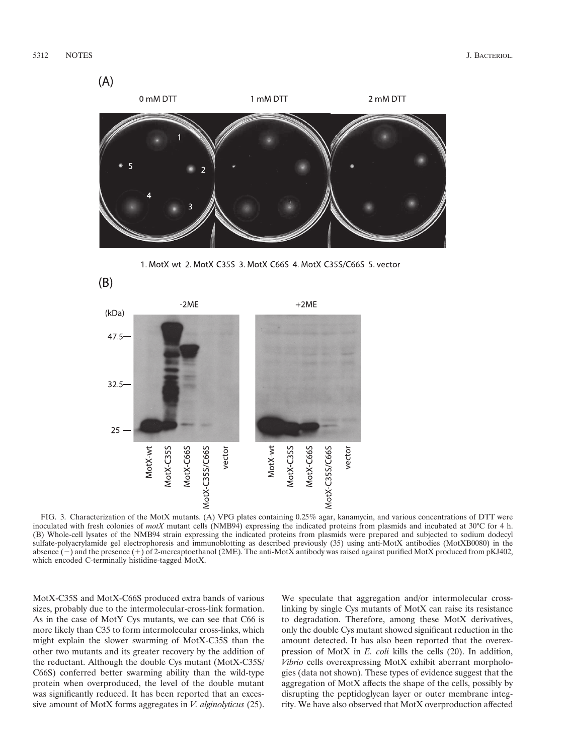

1. MotX-wt 2. MotX-C35S 3. MotX-C66S 4. MotX-C35S/C66S 5. vector



FIG. 3. Characterization of the MotX mutants. (A) VPG plates containing 0.25% agar, kanamycin, and various concentrations of DTT were inoculated with fresh colonies of *motX* mutant cells (NMB94) expressing the indicated proteins from plasmids and incubated at 30°C for 4 h. (B) Whole-cell lysates of the NMB94 strain expressing the indicated proteins from plasmids were prepared and subjected to sodium dodecyl sulfate-polyacrylamide gel electrophoresis and immunoblotting as described previously (35) using anti-MotX antibodies (MotXB0080) in the absence  $(-)$  and the presence  $(+)$  of 2-mercaptoethanol (2ME). The anti-MotX antibody was raised against purified MotX produced from pKJ402, which encoded C-terminally histidine-tagged MotX.

MotX-C35S and MotX-C66S produced extra bands of various sizes, probably due to the intermolecular-cross-link formation. As in the case of MotY Cys mutants, we can see that C66 is more likely than C35 to form intermolecular cross-links, which might explain the slower swarming of MotX-C35S than the other two mutants and its greater recovery by the addition of the reductant. Although the double Cys mutant (MotX-C35S/ C66S) conferred better swarming ability than the wild-type protein when overproduced, the level of the double mutant was significantly reduced. It has been reported that an excessive amount of MotX forms aggregates in *V. alginolyticus* (25).

We speculate that aggregation and/or intermolecular crosslinking by single Cys mutants of MotX can raise its resistance to degradation. Therefore, among these MotX derivatives, only the double Cys mutant showed significant reduction in the amount detected. It has also been reported that the overexpression of MotX in *E. coli* kills the cells (20). In addition, *Vibrio* cells overexpressing MotX exhibit aberrant morphologies (data not shown). These types of evidence suggest that the aggregation of MotX affects the shape of the cells, possibly by disrupting the peptidoglycan layer or outer membrane integrity. We have also observed that MotX overproduction affected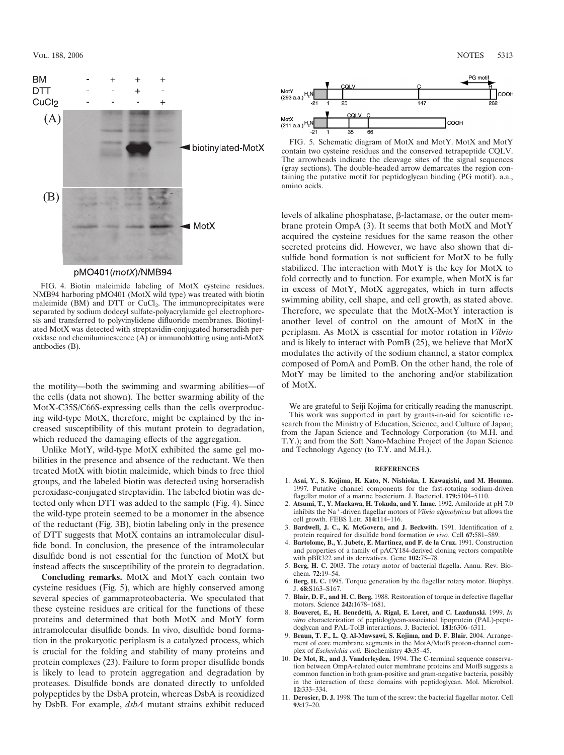

## pMO401(motX)/NMB94

FIG. 4. Biotin maleimide labeling of MotX cysteine residues. NMB94 harboring pMO401 (MotX wild type) was treated with biotin maleimide (BM) and DTT or CuCl<sub>2</sub>. The immunoprecipitates were separated by sodium dodecyl sulfate-polyacrylamide gel electrophoresis and transferred to polyvinylidene difluoride membranes. Biotinylated MotX was detected with streptavidin-conjugated horseradish peroxidase and chemiluminescence (A) or immunoblotting using anti-MotX antibodies (B).

the motility—both the swimming and swarming abilities—of the cells (data not shown). The better swarming ability of the MotX-C35S/C66S-expressing cells than the cells overproducing wild-type MotX, therefore, might be explained by the increased susceptibility of this mutant protein to degradation, which reduced the damaging effects of the aggregation.

Unlike MotY, wild-type MotX exhibited the same gel mobilities in the presence and absence of the reductant. We then treated MotX with biotin maleimide, which binds to free thiol groups, and the labeled biotin was detected using horseradish peroxidase-conjugated streptavidin. The labeled biotin was detected only when DTT was added to the sample (Fig. 4). Since the wild-type protein seemed to be a monomer in the absence of the reductant (Fig. 3B), biotin labeling only in the presence of DTT suggests that MotX contains an intramolecular disulfide bond. In conclusion, the presence of the intramolecular disulfide bond is not essential for the function of MotX but instead affects the susceptibility of the protein to degradation.

**Concluding remarks.** MotX and MotY each contain two cysteine residues (Fig. 5), which are highly conserved among several species of gammaproteobacteria. We speculated that these cysteine residues are critical for the functions of these proteins and determined that both MotX and MotY form intramolecular disulfide bonds. In vivo, disulfide bond formation in the prokaryotic periplasm is a catalyzed process, which is crucial for the folding and stability of many proteins and protein complexes (23). Failure to form proper disulfide bonds is likely to lead to protein aggregation and degradation by proteases. Disulfide bonds are donated directly to unfolded polypeptides by the DsbA protein, whereas DsbA is reoxidized by DsbB. For example, *dsbA* mutant strains exhibit reduced



FIG. 5. Schematic diagram of MotX and MotY. MotX and MotY contain two cysteine residues and the conserved tetrapeptide CQLV. The arrowheads indicate the cleavage sites of the signal sequences (gray sections). The double-headed arrow demarcates the region containing the putative motif for peptidoglycan binding (PG motif). a.a., amino acids.

levels of alkaline phosphatase,  $\beta$ -lactamase, or the outer membrane protein OmpA (3). It seems that both MotX and MotY acquired the cysteine residues for the same reason the other secreted proteins did. However, we have also shown that disulfide bond formation is not sufficient for MotX to be fully stabilized. The interaction with MotY is the key for MotX to fold correctly and to function. For example, when MotX is far in excess of MotY, MotX aggregates, which in turn affects swimming ability, cell shape, and cell growth, as stated above. Therefore, we speculate that the MotX-MotY interaction is another level of control on the amount of MotX in the periplasm. As MotX is essential for motor rotation in *Vibrio* and is likely to interact with PomB (25), we believe that MotX modulates the activity of the sodium channel, a stator complex composed of PomA and PomB. On the other hand, the role of MotY may be limited to the anchoring and/or stabilization of MotX.

We are grateful to Seiji Kojima for critically reading the manuscript. This work was supported in part by grants-in-aid for scientific research from the Ministry of Education, Science, and Culture of Japan; from the Japan Science and Technology Corporation (to M.H. and T.Y.); and from the Soft Nano-Machine Project of the Japan Science and Technology Agency (to T.Y. and M.H.).

## **REFERENCES**

- 1. **Asai, Y., S. Kojima, H. Kato, N. Nishioka, I. Kawagishi, and M. Homma.** 1997. Putative channel components for the fast-rotating sodium-driven flagellar motor of a marine bacterium. J. Bacteriol. **179:**5104–5110.
- 2. **Atsumi, T., Y. Maekawa, H. Tokuda, and Y. Imae.** 1992. Amiloride at pH 7.0 inhibits the Na<sup>+</sup>-driven flagellar motors of *Vibrio alginolyticus* but allows the cell growth. FEBS Lett. **314:**114–116.
- 3. **Bardwell, J. C., K. McGovern, and J. Beckwith.** 1991. Identification of a protein required for disulfide bond formation *in vivo.* Cell **67:**581–589.
- 4. **Bartolome, B., Y. Jubete, E. Martinez, and F. de la Cruz.** 1991. Construction and properties of a family of pACY184-derived cloning vectors compatible with pBR322 and its derivatives. Gene **102:**75–78.
- 5. **Berg, H. C.** 2003. The rotary motor of bacterial flagella. Annu. Rev. Biochem. **72:**19–54.
- 6. **Berg, H. C.** 1995. Torque generation by the flagellar rotary motor. Biophys. J. **68:**S163–S167.
- 7. **Blair, D. F., and H. C. Berg.** 1988. Restoration of torque in defective flagellar motors. Science **242:**1678–1681.
- 8. **Bouveret, E., H. Benedetti, A. Rigal, E. Loret, and C. Lazdunski.** 1999. *In vitro* characterization of peptidoglycan-associated lipoprotein (PAL)-peptidoglycan and PAL-TolB interactions. J. Bacteriol. **181:**6306–6311.
- 9. **Braun, T. F., L. Q. Al-Mawsawi, S. Kojima, and D. F. Blair.** 2004. Arrangement of core membrane segments in the MotA/MotB proton-channel complex of *Escherichia coli.* Biochemistry **43:**35–45.
- 10. **De Mot, R., and J. Vanderleyden.** 1994. The C-terminal sequence conservation between OmpA-related outer membrane proteins and MotB suggests a common function in both gram-positive and gram-negative bacteria, possibly in the interaction of these domains with peptidoglycan. Mol. Microbiol. **12:**333–334.
- 11. **Derosier, D. J.** 1998. The turn of the screw: the bacterial flagellar motor. Cell **93:**17–20.